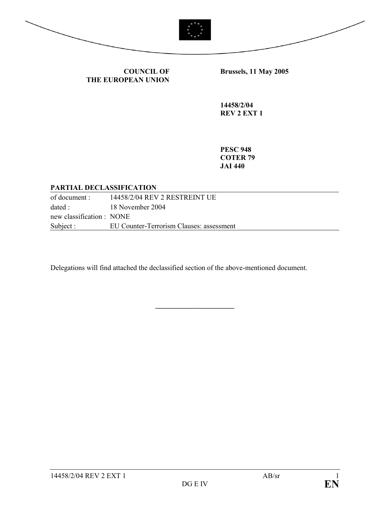

 $R$ 

**COUNCIL OF THE EUROPEAN UNION**

**Brussels, 11 May 2005** 

**14458/2/04 REV 2 EXT 1** 

**PESC 948 COTER 79 JAI 440** 

### **PARTIAL DECLASSIFICATION**

| of document :             | 14458/2/04 REV 2 RESTREINT UE            |
|---------------------------|------------------------------------------|
| dated :                   | 18 November 2004                         |
| new classification : NONE |                                          |
| Subject :                 | EU Counter-Terrorism Clauses: assessment |

**\_\_\_\_\_\_\_\_\_\_\_\_\_\_\_\_\_\_\_\_\_\_**

Delegations will find attached the declassified section of the above-mentioned document.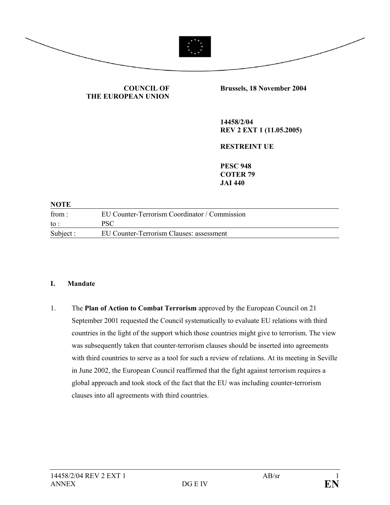

### **COUNCIL OF THE EUROPEAN UNION**

**Brussels, 18 November 2004** 

**14458/2/04 REV 2 EXT 1 (11.05.2005)** 

**RESTREINT UE** 

**PESC 948 COTER 79 JAI 440** 

### **NOTE**

| from:     | EU Counter-Terrorism Coordinator / Commission |
|-----------|-----------------------------------------------|
| to :      | PSC                                           |
| Subject : | EU Counter-Terrorism Clauses: assessment      |

#### **I. Mandate**

1. The **Plan of Action to Combat Terrorism** approved by the European Council on 21 September 2001 requested the Council systematically to evaluate EU relations with third countries in the light of the support which those countries might give to terrorism. The view was subsequently taken that counter-terrorism clauses should be inserted into agreements with third countries to serve as a tool for such a review of relations. At its meeting in Seville in June 2002, the European Council reaffirmed that the fight against terrorism requires a global approach and took stock of the fact that the EU was including counter-terrorism clauses into all agreements with third countries.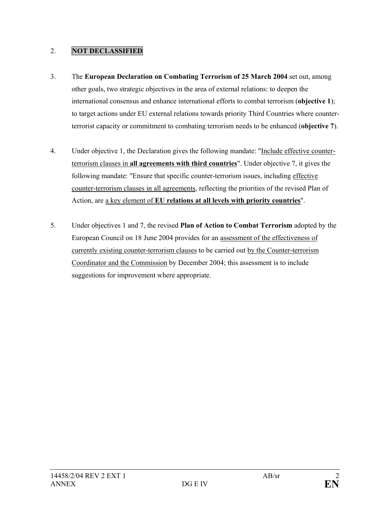- 3. The **European Declaration on Combating Terrorism of 25 March 2004** set out, among other goals, two strategic objectives in the area of external relations: to deepen the international consensus and enhance international efforts to combat terrorism (**objective 1**); to target actions under EU external relations towards priority Third Countries where counterterrorist capacity or commitment to combating terrorism needs to be enhanced (**objective 7**).
- 4. Under objective 1, the Declaration gives the following mandate: "Include effective counterterrorism clauses in **all agreements with third countries**". Under objective 7, it gives the following mandate: "Ensure that specific counter-terrorism issues, including effective counter-terrorism clauses in all agreements, reflecting the priorities of the revised Plan of Action, are a key element of **EU relations at all levels with priority countries**".
- 5. Under objectives 1 and 7, the revised **Plan of Action to Combat Terrorism** adopted by the European Council on 18 June 2004 provides for an assessment of the effectiveness of currently existing counter-terrorism clauses to be carried out by the Counter-terrorism Coordinator and the Commission by December 2004; this assessment is to include suggestions for improvement where appropriate.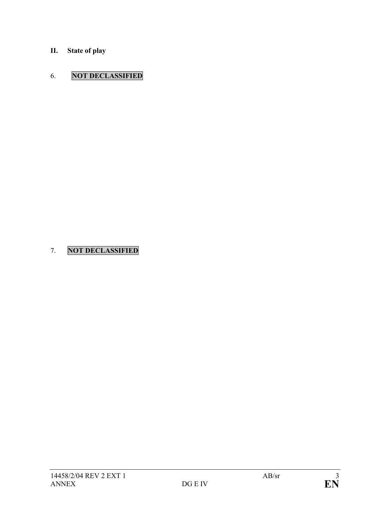**II. State of play** 

# 6. **NOT DECLASSIFIED**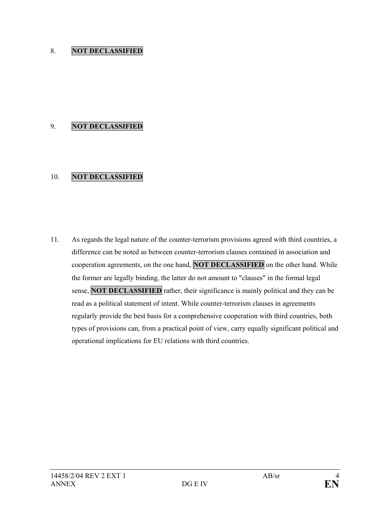## 9. **NOT DECLASSIFIED**

## 10. **NOT DECLASSIFIED**

11. As regards the legal nature of the counter-terrorism provisions agreed with third countries, a difference can be noted as between counter-terrorism clauses contained in association and cooperation agreements, on the one hand, **NOT DECLASSIFIED** on the other hand. While the former are legally binding, the latter do not amount to "clauses" in the formal legal sense, **NOT DECLASSIFIED** rather, their significance is mainly political and they can be read as a political statement of intent. While counter-terrorism clauses in agreements regularly provide the best basis for a comprehensive cooperation with third countries, both types of provisions can, from a practical point of view, carry equally significant political and operational implications for EU relations with third countries.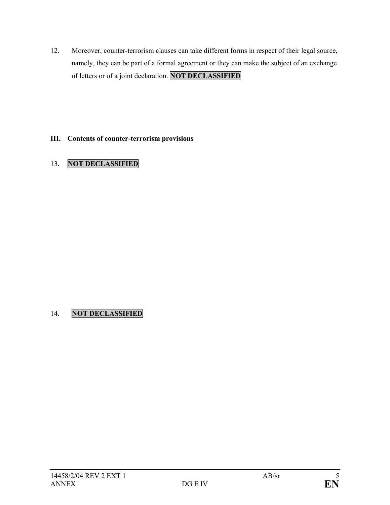12. Moreover, counter-terrorism clauses can take different forms in respect of their legal source, namely, they can be part of a formal agreement or they can make the subject of an exchange of letters or of a joint declaration. **NOT DECLASSIFIED**

## **III. Contents of counter-terrorism provisions**

# 13. **NOT DECLASSIFIED**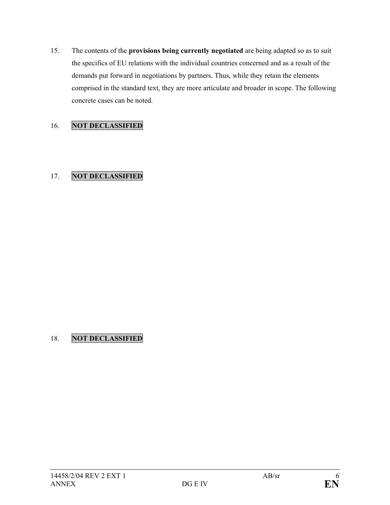15. The contents of the **provisions being currently negotiated** are being adapted so as to suit the specifics of EU relations with the individual countries concerned and as a result of the demands put forward in negotiations by partners. Thus, while they retain the elements comprised in the standard text, they are more articulate and broader in scope. The following concrete cases can be noted.

# 16. **NOT DECLASSIFIED**

# 17. **NOT DECLASSIFIED**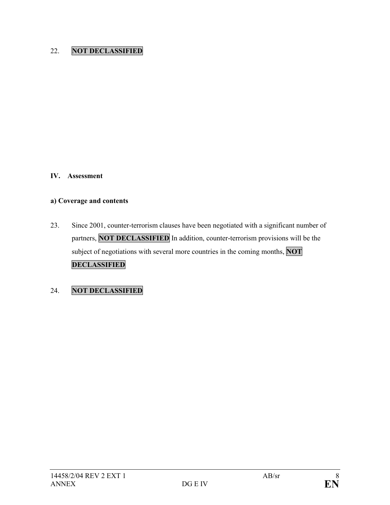#### **IV. Assessment**

# **a) Coverage and contents**

23. Since 2001, counter-terrorism clauses have been negotiated with a significant number of partners, **NOT DECLASSIFIED** In addition, counter-terrorism provisions will be the subject of negotiations with several more countries in the coming months, **NOT DECLASSIFIED**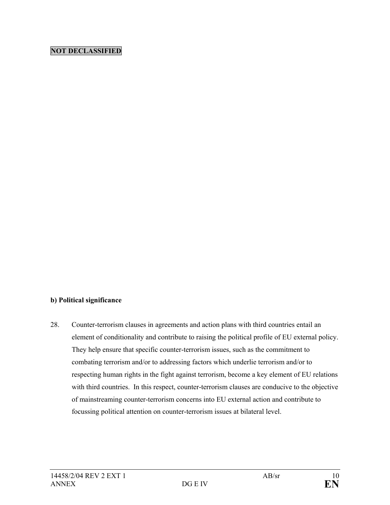#### **b) Political significance**

28. Counter-terrorism clauses in agreements and action plans with third countries entail an element of conditionality and contribute to raising the political profile of EU external policy. They help ensure that specific counter-terrorism issues, such as the commitment to combating terrorism and/or to addressing factors which underlie terrorism and/or to respecting human rights in the fight against terrorism, become a key element of EU relations with third countries. In this respect, counter-terrorism clauses are conducive to the objective of mainstreaming counter-terrorism concerns into EU external action and contribute to focussing political attention on counter-terrorism issues at bilateral level.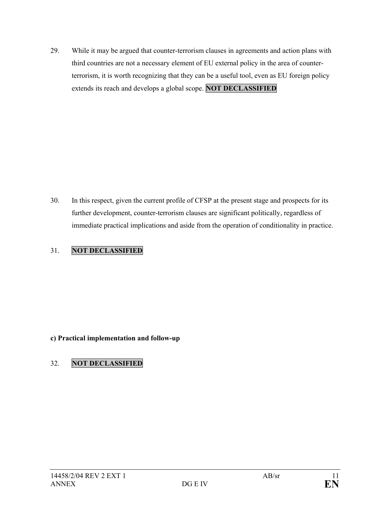29. While it may be argued that counter-terrorism clauses in agreements and action plans with third countries are not a necessary element of EU external policy in the area of counterterrorism, it is worth recognizing that they can be a useful tool, even as EU foreign policy extends its reach and develops a global scope. **NOT DECLASSIFIED** 

30. In this respect, given the current profile of CFSP at the present stage and prospects for its further development, counter-terrorism clauses are significant politically, regardless of immediate practical implications and aside from the operation of conditionality in practice.

# 31. **NOT DECLASSIFIED**

## **c) Practical implementation and follow-up**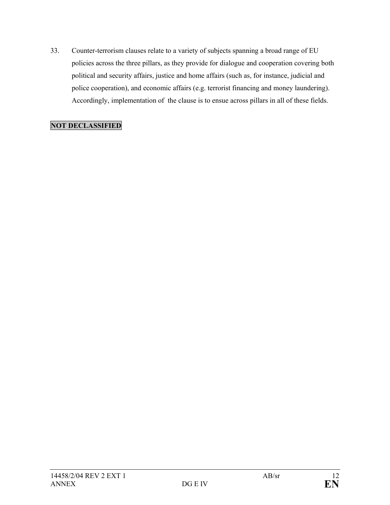33. Counter-terrorism clauses relate to a variety of subjects spanning a broad range of EU policies across the three pillars, as they provide for dialogue and cooperation covering both political and security affairs, justice and home affairs (such as, for instance, judicial and police cooperation), and economic affairs (e.g. terrorist financing and money laundering). Accordingly, implementation of the clause is to ensue across pillars in all of these fields.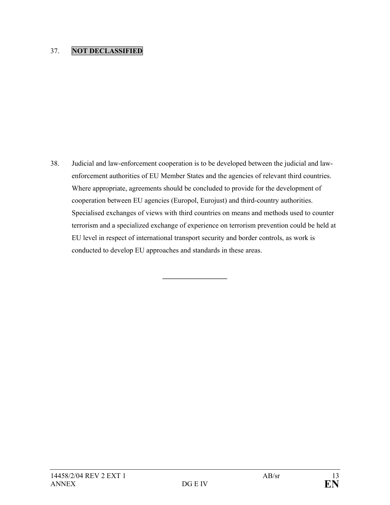38. Judicial and law-enforcement cooperation is to be developed between the judicial and lawenforcement authorities of EU Member States and the agencies of relevant third countries. Where appropriate, agreements should be concluded to provide for the development of cooperation between EU agencies (Europol, Eurojust) and third-country authorities. Specialised exchanges of views with third countries on means and methods used to counter terrorism and a specialized exchange of experience on terrorism prevention could be held at EU level in respect of international transport security and border controls, as work is conducted to develop EU approaches and standards in these areas.

**\_\_\_\_\_\_\_\_\_\_\_\_\_\_\_\_\_\_**